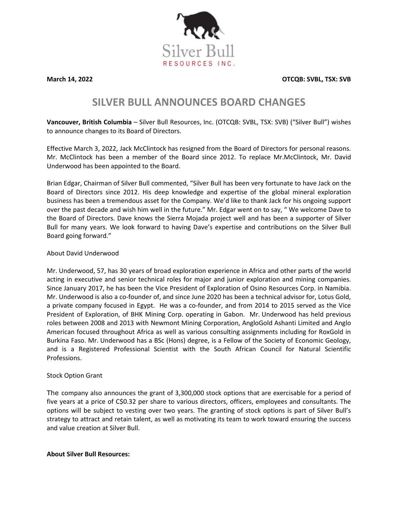

**March 14, 2022 OTCQB: SVBL, TSX: SVB**

# **SILVER BULL ANNOUNCES BOARD CHANGES**

**Vancouver, British Columbia** – Silver Bull Resources, Inc. (OTCQB: SVBL, TSX: SVB) ("Silver Bull") wishes to announce changes to its Board of Directors.

Effective March 3, 2022, Jack McClintock has resigned from the Board of Directors for personal reasons. Mr. McClintock has been a member of the Board since 2012. To replace Mr.McClintock, Mr. David Underwood has been appointed to the Board.

Brian Edgar, Chairman of Silver Bull commented, "Silver Bull has been very fortunate to have Jack on the Board of Directors since 2012. His deep knowledge and expertise of the global mineral exploration business has been a tremendous asset for the Company. We'd like to thank Jack for his ongoing support over the past decade and wish him well in the future." Mr. Edgar went on to say, " We welcome Dave to the Board of Directors. Dave knows the Sierra Mojada project well and has been a supporter of Silver Bull for many years. We look forward to having Dave's expertise and contributions on the Silver Bull Board going forward."

## About David Underwood

Mr. Underwood, 57, has 30 years of broad exploration experience in Africa and other parts of the world acting in executive and senior technical roles for major and junior exploration and mining companies. Since January 2017, he has been the Vice President of Exploration of Osino Resources Corp. in Namibia. Mr. Underwood is also a co-founder of, and since June 2020 has been a technical advisor for, Lotus Gold, a private company focused in Egypt. He was a co-founder, and from 2014 to 2015 served as the Vice President of Exploration, of BHK Mining Corp. operating in Gabon. Mr. Underwood has held previous roles between 2008 and 2013 with Newmont Mining Corporation, AngloGold Ashanti Limited and Anglo American focused throughout Africa as well as various consulting assignments including for RoxGold in Burkina Faso. Mr. Underwood has a BSc (Hons) degree, is a Fellow of the Society of Economic Geology, and is a Registered Professional Scientist with the South African Council for Natural Scientific Professions.

## Stock Option Grant

The company also announces the grant of 3,300,000 stock options that are exercisable for a period of five years at a price of C\$0.32 per share to various directors, officers, employees and consultants. The options will be subject to vesting over two years. The granting of stock options is part of Silver Bull's strategy to attract and retain talent, as well as motivating its team to work toward ensuring the success and value creation at Silver Bull.

#### **About Silver Bull Resources:**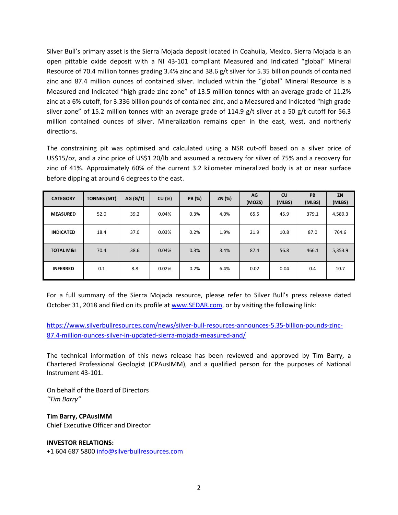Silver Bull's primary asset is the Sierra Mojada deposit located in Coahuila, Mexico. Sierra Mojada is an open pittable oxide deposit with a NI 43-101 compliant Measured and Indicated "global" Mineral Resource of 70.4 million tonnes grading 3.4% zinc and 38.6 g/t silver for 5.35 billion pounds of contained zinc and 87.4 million ounces of contained silver. Included within the "global" Mineral Resource is a Measured and Indicated "high grade zinc zone" of 13.5 million tonnes with an average grade of 11.2% zinc at a 6% cutoff, for 3.336 billion pounds of contained zinc, and a Measured and Indicated "high grade silver zone" of 15.2 million tonnes with an average grade of 114.9 g/t silver at a 50 g/t cutoff for 56.3 million contained ounces of silver. Mineralization remains open in the east, west, and northerly directions.

The constraining pit was optimised and calculated using a NSR cut-off based on a silver price of US\$15/oz, and a zinc price of US\$1.20/lb and assumed a recovery for silver of 75% and a recovery for zinc of 41%. Approximately 60% of the current 3.2 kilometer mineralized body is at or near surface before dipping at around 6 degrees to the east.

| <b>CATEGORY</b>      | <b>TONNES (MT)</b> | AG (G/T) | CU (%) | PB (%) | ZN (%) | AG<br>(MOZS) | cu<br>(MLBS) | <b>PB</b><br>(MLBS) | ZN<br>(MLBS) |
|----------------------|--------------------|----------|--------|--------|--------|--------------|--------------|---------------------|--------------|
| <b>MEASURED</b>      | 52.0               | 39.2     | 0.04%  | 0.3%   | 4.0%   | 65.5         | 45.9         | 379.1               | 4,589.3      |
| <b>INDICATED</b>     | 18.4               | 37.0     | 0.03%  | 0.2%   | 1.9%   | 21.9         | 10.8         | 87.0                | 764.6        |
| <b>TOTAL M&amp;I</b> | 70.4               | 38.6     | 0.04%  | 0.3%   | 3.4%   | 87.4         | 56.8         | 466.1               | 5,353.9      |
| <b>INFERRED</b>      | 0.1                | 8.8      | 0.02%  | 0.2%   | 6.4%   | 0.02         | 0.04         | 0.4                 | 10.7         |

For a full summary of the Sierra Mojada resource, please refer to Silver Bull's press release dated October 31, 2018 and filed on its profile at [www.SEDAR.com,](http://www.sedar.com/) or by visiting the following link:

[https://www.silverbullresources.com/news/silver-bull-resources-announces-5.35-billion-pounds-zinc-](https://www.silverbullresources.com/news/silver-bull-resources-announces-5.35-billion-pounds-zinc-87.4-million-ounces-silver-in-updated-sierra-mojada-measured-and/)[87.4-million-ounces-silver-in-updated-sierra-mojada-measured-and/](https://www.silverbullresources.com/news/silver-bull-resources-announces-5.35-billion-pounds-zinc-87.4-million-ounces-silver-in-updated-sierra-mojada-measured-and/)

The technical information of this news release has been reviewed and approved by Tim Barry, a Chartered Professional Geologist (CPAusIMM), and a qualified person for the purposes of National Instrument 43-101.

On behalf of the Board of Directors *"Tim Barry"*

**Tim Barry, CPAusIMM** Chief Executive Officer and Director

#### **INVESTOR RELATIONS:**

+1 604 687 5800 info@silverbullresources.com